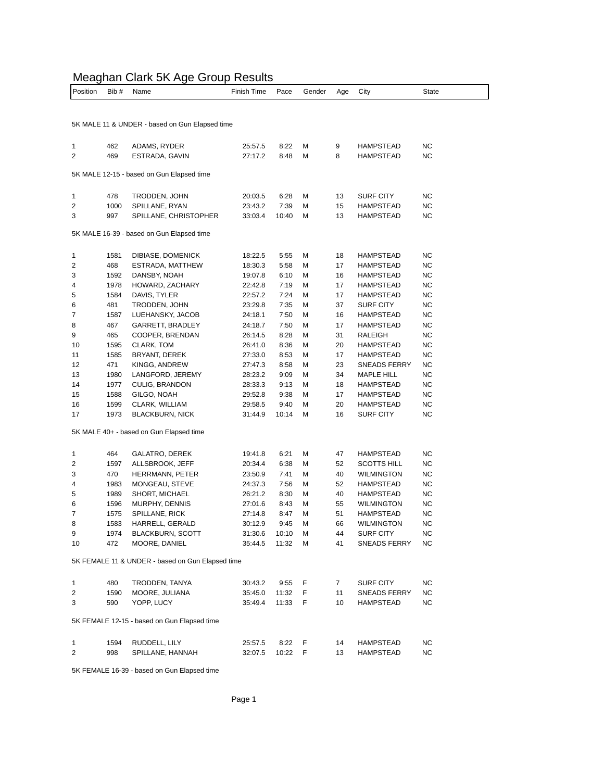## Meaghan Clark 5K Age Group Results

| Position                                       | Bib #        | Name                                             | Finish Time        | Pace          | Gender | Age      | City                                 | <b>State</b>    |  |  |  |
|------------------------------------------------|--------------|--------------------------------------------------|--------------------|---------------|--------|----------|--------------------------------------|-----------------|--|--|--|
|                                                |              |                                                  |                    |               |        |          |                                      |                 |  |  |  |
|                                                |              |                                                  |                    |               |        |          |                                      |                 |  |  |  |
| 5K MALE 11 & UNDER - based on Gun Elapsed time |              |                                                  |                    |               |        |          |                                      |                 |  |  |  |
|                                                |              |                                                  |                    |               |        |          |                                      |                 |  |  |  |
| 1<br>2                                         | 462<br>469   | ADAMS, RYDER<br>ESTRADA, GAVIN                   | 25:57.5<br>27:17.2 | 8:22<br>8:48  | М<br>М | 9<br>8   | <b>HAMPSTEAD</b><br><b>HAMPSTEAD</b> | <b>NC</b><br>NC |  |  |  |
|                                                |              |                                                  |                    |               |        |          |                                      |                 |  |  |  |
| 5K MALE 12-15 - based on Gun Elapsed time      |              |                                                  |                    |               |        |          |                                      |                 |  |  |  |
|                                                |              |                                                  |                    |               |        |          |                                      |                 |  |  |  |
| 1                                              | 478          | TRODDEN, JOHN                                    | 20:03.5            | 6:28          | М<br>М | 13<br>15 | <b>SURF CITY</b>                     | NC<br><b>NC</b> |  |  |  |
| 2<br>3                                         | 1000<br>997  | SPILLANE, RYAN<br>SPILLANE, CHRISTOPHER          | 23:43.2<br>33:03.4 | 7:39<br>10:40 | М      | 13       | <b>HAMPSTEAD</b><br><b>HAMPSTEAD</b> | NC              |  |  |  |
|                                                |              |                                                  |                    |               |        |          |                                      |                 |  |  |  |
|                                                |              | 5K MALE 16-39 - based on Gun Elapsed time        |                    |               |        |          |                                      |                 |  |  |  |
|                                                |              |                                                  |                    |               |        |          |                                      |                 |  |  |  |
| 1<br>2                                         | 1581<br>468  | DIBIASE, DOMENICK<br>ESTRADA, MATTHEW            | 18:22.5<br>18:30.3 | 5:55<br>5:58  | М<br>М | 18<br>17 | <b>HAMPSTEAD</b><br><b>HAMPSTEAD</b> | NC<br><b>NC</b> |  |  |  |
| 3                                              | 1592         | DANSBY, NOAH                                     | 19:07.8            | 6:10          | М      | 16       | HAMPSTEAD                            | NC              |  |  |  |
| 4                                              | 1978         | HOWARD, ZACHARY                                  | 22:42.8            | 7:19          | М      | 17       | <b>HAMPSTEAD</b>                     | ΝC              |  |  |  |
| 5                                              | 1584         | DAVIS, TYLER                                     | 22:57.2            | 7:24          | М      | 17       | <b>HAMPSTEAD</b>                     | NC              |  |  |  |
| 6                                              | 481          | TRODDEN, JOHN                                    | 23:29.8            | 7:35          | М      | 37       | <b>SURF CITY</b>                     | NC              |  |  |  |
| 7                                              | 1587         | LUEHANSKY, JACOB                                 | 24:18.1            | 7:50          | М      | 16       | <b>HAMPSTEAD</b>                     | NC              |  |  |  |
| 8                                              | 467          | GARRETT, BRADLEY                                 | 24:18.7            | 7:50          | М      | 17       | <b>HAMPSTEAD</b>                     | <b>NC</b>       |  |  |  |
| 9                                              | 465          | COOPER, BRENDAN                                  | 26:14.5            | 8:28          | М      | 31       | RALEIGH                              | NC              |  |  |  |
| 10                                             | 1595         | CLARK, TOM                                       | 26:41.0            | 8:36          | М      | 20       | <b>HAMPSTEAD</b>                     | NC              |  |  |  |
| 11                                             | 1585         | BRYANT, DEREK                                    | 27:33.0            | 8:53          | М      | 17       | <b>HAMPSTEAD</b>                     | <b>NC</b>       |  |  |  |
| 12                                             | 471          | KINGG, ANDREW                                    | 27:47.3            | 8:58          | М      | 23       | SNEADS FERRY                         | NC              |  |  |  |
| 13                                             | 1980         | LANGFORD, JEREMY                                 | 28:23.2            | 9:09          | М      | 34       | MAPLE HILL                           | NC              |  |  |  |
| 14                                             | 1977         | CULIG, BRANDON                                   | 28:33.3            | 9:13          | М      | 18       | <b>HAMPSTEAD</b>                     | NC              |  |  |  |
| 15                                             | 1588         | GILGO, NOAH                                      | 29:52.8            | 9:38          | М      | 17       | <b>HAMPSTEAD</b>                     | <b>NC</b>       |  |  |  |
| 16                                             | 1599         | CLARK, WILLIAM                                   | 29:58.5            | 9:40          | М      | 20       | HAMPSTEAD                            | NC              |  |  |  |
| 17                                             | 1973         | <b>BLACKBURN, NICK</b>                           | 31:44.9            | 10:14         | М      | 16       | <b>SURF CITY</b>                     | NC              |  |  |  |
|                                                |              | 5K MALE 40+ - based on Gun Elapsed time          |                    |               |        |          |                                      |                 |  |  |  |
|                                                |              |                                                  |                    |               |        |          |                                      |                 |  |  |  |
| 1                                              | 464          | GALATRO, DEREK                                   | 19:41.8            | 6:21          | М      | 47       | <b>HAMPSTEAD</b>                     | NC              |  |  |  |
| 2                                              | 1597         | ALLSBROOK, JEFF                                  | 20:34.4            | 6:38          | М      | 52       | <b>SCOTTS HILL</b>                   | <b>NC</b>       |  |  |  |
| 3                                              | 470          | HERRMANN, PETER                                  | 23:50.9            | 7:41          | М      | 40       | WILMINGTON                           | NC              |  |  |  |
| 4                                              | 1983         | MONGEAU, STEVE                                   | 24:37.3            | 7:56          | М      | 52       | HAMPSTEAD                            | NC              |  |  |  |
| 5                                              | 1989         | <b>SHORT, MICHAEL</b>                            | 26:21.2            | 8:30          | М      | 40       | HAMPSTEAD                            | NC              |  |  |  |
| 6<br>7                                         | 1596         | MURPHY, DENNIS                                   | 27:01.6            | 8:43          | М<br>М | 55       | <b>WILMINGTON</b>                    | NC<br><b>NC</b> |  |  |  |
|                                                | 1575<br>1583 | SPILLANE, RICK<br>HARRELL, GERALD                | 27:14.8            | 8:47<br>9:45  | М      | 51<br>66 | <b>HAMPSTEAD</b>                     | <b>NC</b>       |  |  |  |
| 8<br>9                                         | 1974         | <b>BLACKBURN, SCOTT</b>                          | 30:12.9<br>31:30.6 | 10:10         | М      | 44       | WILMINGTON<br>SURF CITY              | NС              |  |  |  |
| 10                                             | 472          | MOORE, DANIEL                                    | 35:44.5            | 11:32         | м      | 41       | <b>SNEADS FERRY</b>                  | NC              |  |  |  |
|                                                |              |                                                  |                    |               |        |          |                                      |                 |  |  |  |
|                                                |              | 5K FEMALE 11 & UNDER - based on Gun Elapsed time |                    |               |        |          |                                      |                 |  |  |  |
|                                                |              |                                                  |                    |               |        |          |                                      |                 |  |  |  |
| $\mathbf{1}$                                   | 480          | TRODDEN, TANYA                                   | 30:43.2            | 9:55<br>11:32 | F<br>F | 7        | SURF CITY<br><b>SNEADS FERRY</b>     | NC              |  |  |  |
| 2<br>3                                         | 1590<br>590  | MOORE, JULIANA<br>YOPP, LUCY                     | 35:45.0<br>35:49.4 | 11:33         | F      | 11<br>10 | HAMPSTEAD                            | NC<br>NC        |  |  |  |
|                                                |              |                                                  |                    |               |        |          |                                      |                 |  |  |  |
| 5K FEMALE 12-15 - based on Gun Elapsed time    |              |                                                  |                    |               |        |          |                                      |                 |  |  |  |
|                                                |              |                                                  |                    |               |        |          |                                      |                 |  |  |  |
| 1<br>2                                         | 1594<br>998  | RUDDELL, LILY<br>SPILLANE, HANNAH                | 25:57.5<br>32:07.5 | 8:22<br>10:22 | F<br>F | 14<br>13 | <b>HAMPSTEAD</b><br><b>HAMPSTEAD</b> | NC<br>NC        |  |  |  |
|                                                |              |                                                  |                    |               |        |          |                                      |                 |  |  |  |

5K FEMALE 16-39 - based on Gun Elapsed time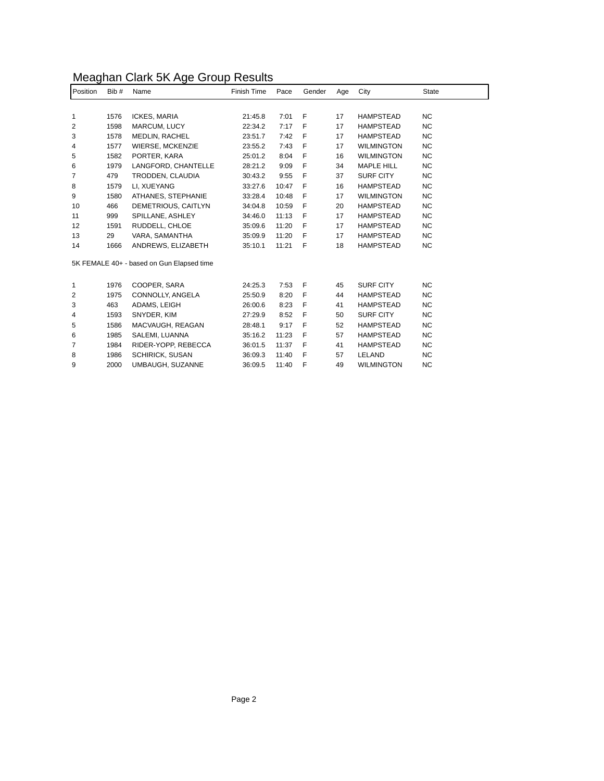## Meaghan Clark 5K Age Group Results

| Position                                  | Bib # | Name                   | Finish Time | Pace  | Gender       | Age | City              | State          |
|-------------------------------------------|-------|------------------------|-------------|-------|--------------|-----|-------------------|----------------|
|                                           |       |                        |             |       |              |     |                   |                |
| 1                                         | 1576  | <b>ICKES, MARIA</b>    | 21:45.8     | 7:01  | F            | 17  | <b>HAMPSTEAD</b>  | N <sub>C</sub> |
| 2                                         | 1598  | MARCUM, LUCY           | 22:34.2     | 7:17  | F            | 17  | <b>HAMPSTEAD</b>  | <b>NC</b>      |
| 3                                         | 1578  | <b>MEDLIN, RACHEL</b>  | 23:51.7     | 7:42  | F            | 17  | <b>HAMPSTEAD</b>  | <b>NC</b>      |
| 4                                         | 1577  | WIERSE, MCKENZIE       | 23:55.2     | 7:43  | F            | 17  | <b>WILMINGTON</b> | <b>NC</b>      |
| 5                                         | 1582  | PORTER, KARA           | 25:01.2     | 8:04  | F            | 16  | <b>WILMINGTON</b> | <b>NC</b>      |
| 6                                         | 1979  | LANGFORD, CHANTELLE    | 28:21.2     | 9:09  | F            | 34  | <b>MAPLE HILL</b> | <b>NC</b>      |
| 7                                         | 479   | TRODDEN, CLAUDIA       | 30:43.2     | 9:55  | F            | 37  | <b>SURF CITY</b>  | <b>NC</b>      |
| 8                                         | 1579  | LI, XUEYANG            | 33:27.6     | 10:47 | F            | 16  | <b>HAMPSTEAD</b>  | <b>NC</b>      |
| 9                                         | 1580  | ATHANES, STEPHANIE     | 33:28.4     | 10:48 | F            | 17  | <b>WILMINGTON</b> | <b>NC</b>      |
| 10                                        | 466   | DEMETRIOUS, CAITLYN    | 34:04.8     | 10:59 | F            | 20  | <b>HAMPSTEAD</b>  | <b>NC</b>      |
| 11                                        | 999   | SPILLANE, ASHLEY       | 34:46.0     | 11:13 | F            | 17  | <b>HAMPSTEAD</b>  | <b>NC</b>      |
| 12                                        | 1591  | RUDDELL, CHLOE         | 35:09.6     | 11:20 | F            | 17  | <b>HAMPSTEAD</b>  | <b>NC</b>      |
| 13                                        | 29    | VARA, SAMANTHA         | 35:09.9     | 11:20 | F            | 17  | HAMPSTEAD         | <b>NC</b>      |
| 14                                        | 1666  | ANDREWS, ELIZABETH     | 35:10.1     | 11:21 | F            | 18  | <b>HAMPSTEAD</b>  | <b>NC</b>      |
| 5K FEMALE 40+ - based on Gun Elapsed time |       |                        |             |       |              |     |                   |                |
| 1                                         | 1976  | COOPER, SARA           | 24:25.3     | 7:53  | $\mathsf{F}$ | 45  | <b>SURF CITY</b>  | N <sub>C</sub> |
| 2                                         | 1975  | CONNOLLY, ANGELA       | 25:50.9     | 8:20  | F            | 44  | HAMPSTEAD         | <b>NC</b>      |
| 3                                         | 463   | ADAMS, LEIGH           | 26:00.6     | 8:23  | F            | 41  | <b>HAMPSTEAD</b>  | <b>NC</b>      |
| 4                                         | 1593  | SNYDER, KIM            | 27:29.9     | 8:52  | F            | 50  | <b>SURF CITY</b>  | <b>NC</b>      |
| 5                                         | 1586  | MACVAUGH, REAGAN       | 28:48.1     | 9:17  | F            | 52  | <b>HAMPSTEAD</b>  | <b>NC</b>      |
| 6                                         | 1985  | SALEMI, LUANNA         | 35:16.2     | 11:23 | F            | 57  | <b>HAMPSTEAD</b>  | <b>NC</b>      |
| 7                                         | 1984  | RIDER-YOPP, REBECCA    | 36:01.5     | 11:37 | F            | 41  | <b>HAMPSTEAD</b>  | <b>NC</b>      |
| 8                                         | 1986  | <b>SCHIRICK, SUSAN</b> | 36:09.3     | 11:40 | F            | 57  | LELAND            | <b>NC</b>      |
| 9                                         | 2000  | UMBAUGH, SUZANNE       | 36:09.5     | 11:40 | F            | 49  | <b>WILMINGTON</b> | <b>NC</b>      |